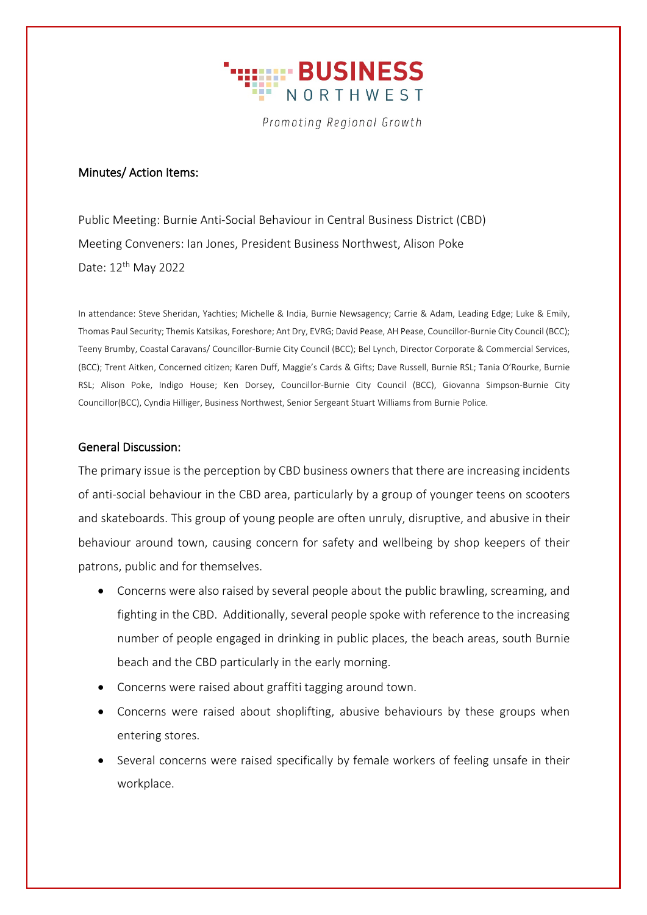

Promoting Regional Growth

### Minutes/ Action Items:

Public Meeting: Burnie Anti-Social Behaviour in Central Business District (CBD) Meeting Conveners: Ian Jones, President Business Northwest, Alison Poke Date: 12th May 2022

In attendance: Steve Sheridan, Yachties; Michelle & India, Burnie Newsagency; Carrie & Adam, Leading Edge; Luke & Emily, Thomas Paul Security; Themis Katsikas, Foreshore; Ant Dry, EVRG; David Pease, AH Pease, Councillor-Burnie City Council (BCC); Teeny Brumby, Coastal Caravans/ Councillor-Burnie City Council (BCC); Bel Lynch, Director Corporate & Commercial Services, (BCC); Trent Aitken, Concerned citizen; Karen Duff, Maggie's Cards & Gifts; Dave Russell, Burnie RSL; Tania O'Rourke, Burnie RSL; Alison Poke, Indigo House; Ken Dorsey, Councillor-Burnie City Council (BCC), Giovanna Simpson-Burnie City Councillor(BCC), Cyndia Hilliger, Business Northwest, Senior Sergeant Stuart Williams from Burnie Police.

# General Discussion:

The primary issue is the perception by CBD business owners that there are increasing incidents of anti-social behaviour in the CBD area, particularly by a group of younger teens on scooters and skateboards. This group of young people are often unruly, disruptive, and abusive in their behaviour around town, causing concern for safety and wellbeing by shop keepers of their patrons, public and for themselves.

- Concerns were also raised by several people about the public brawling, screaming, and fighting in the CBD. Additionally, several people spoke with reference to the increasing number of people engaged in drinking in public places, the beach areas, south Burnie beach and the CBD particularly in the early morning.
- Concerns were raised about graffiti tagging around town.
- Concerns were raised about shoplifting, abusive behaviours by these groups when entering stores.
- Several concerns were raised specifically by female workers of feeling unsafe in their workplace.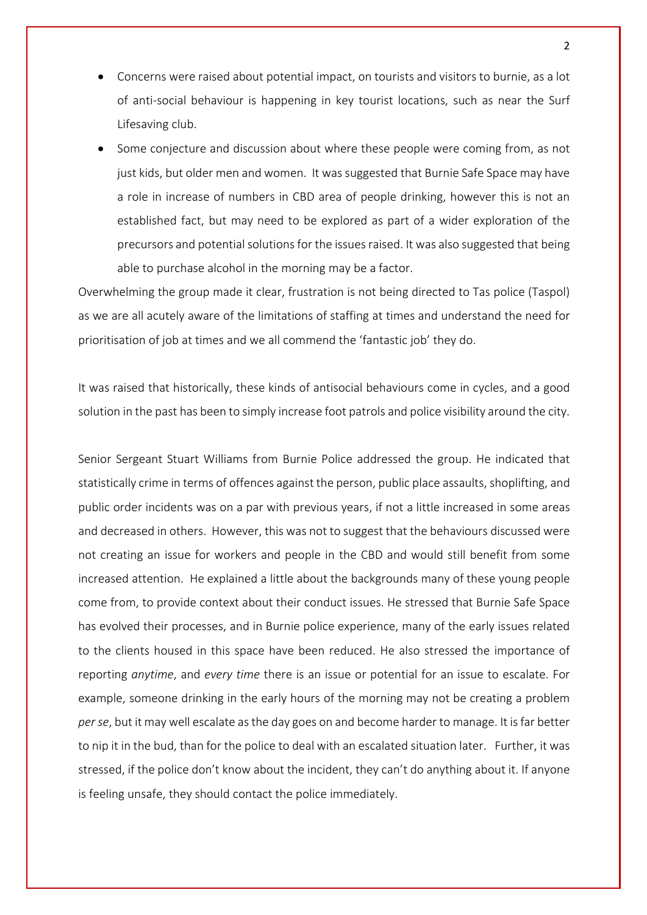- Concerns were raised about potential impact, on tourists and visitors to burnie, as a lot of anti-social behaviour is happening in key tourist locations, such as near the Surf Lifesaving club.
- Some conjecture and discussion about where these people were coming from, as not just kids, but older men and women. It was suggested that Burnie Safe Space may have a role in increase of numbers in CBD area of people drinking, however this is not an established fact, but may need to be explored as part of a wider exploration of the precursors and potential solutions for the issues raised. It was also suggested that being able to purchase alcohol in the morning may be a factor.

Overwhelming the group made it clear, frustration is not being directed to Tas police (Taspol) as we are all acutely aware of the limitations of staffing at times and understand the need for prioritisation of job at times and we all commend the 'fantastic job' they do.

It was raised that historically, these kinds of antisocial behaviours come in cycles, and a good solution in the past has been to simply increase foot patrols and police visibility around the city.

Senior Sergeant Stuart Williams from Burnie Police addressed the group. He indicated that statistically crime in terms of offences against the person, public place assaults, shoplifting, and public order incidents was on a par with previous years, if not a little increased in some areas and decreased in others. However, this was not to suggest that the behaviours discussed were not creating an issue for workers and people in the CBD and would still benefit from some increased attention. He explained a little about the backgrounds many of these young people come from, to provide context about their conduct issues. He stressed that Burnie Safe Space has evolved their processes, and in Burnie police experience, many of the early issues related to the clients housed in this space have been reduced. He also stressed the importance of reporting *anytime*, and *every time* there is an issue or potential for an issue to escalate. For example, someone drinking in the early hours of the morning may not be creating a problem *per se*, but it may well escalate as the day goes on and become harder to manage. It is far better to nip it in the bud, than for the police to deal with an escalated situation later. Further, it was stressed, if the police don't know about the incident, they can't do anything about it. If anyone is feeling unsafe, they should contact the police immediately.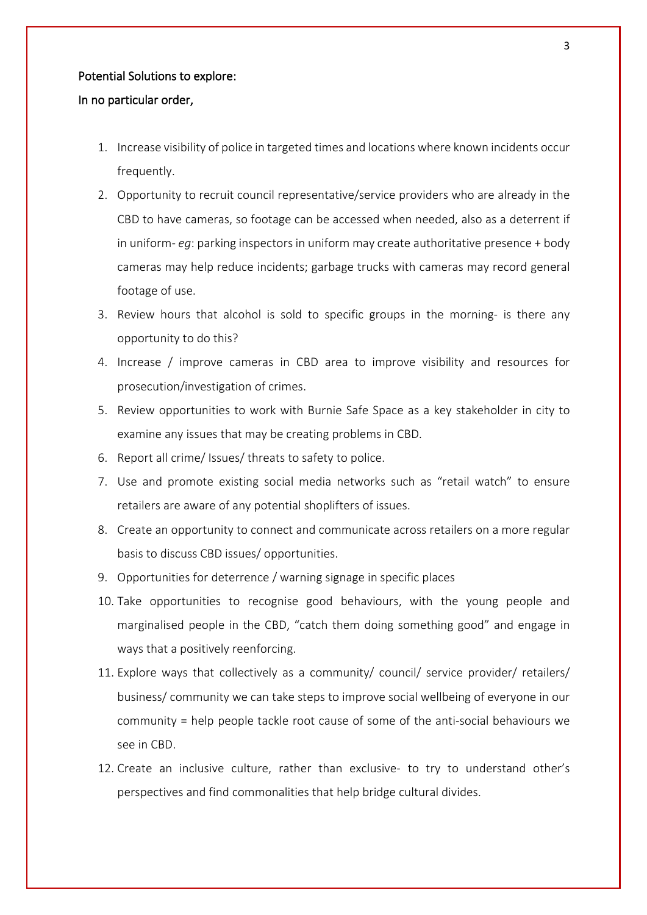#### Potential Solutions to explore:

#### In no particular order,

- 1. Increase visibility of police in targeted times and locations where known incidents occur frequently.
- 2. Opportunity to recruit council representative/service providers who are already in the CBD to have cameras, so footage can be accessed when needed, also as a deterrent if in uniform- *eg*: parking inspectors in uniform may create authoritative presence + body cameras may help reduce incidents; garbage trucks with cameras may record general footage of use.
- 3. Review hours that alcohol is sold to specific groups in the morning- is there any opportunity to do this?
- 4. Increase / improve cameras in CBD area to improve visibility and resources for prosecution/investigation of crimes.
- 5. Review opportunities to work with Burnie Safe Space as a key stakeholder in city to examine any issues that may be creating problems in CBD.
- 6. Report all crime/ Issues/ threats to safety to police.
- 7. Use and promote existing social media networks such as "retail watch" to ensure retailers are aware of any potential shoplifters of issues.
- 8. Create an opportunity to connect and communicate across retailers on a more regular basis to discuss CBD issues/ opportunities.
- 9. Opportunities for deterrence / warning signage in specific places
- 10. Take opportunities to recognise good behaviours, with the young people and marginalised people in the CBD, "catch them doing something good" and engage in ways that a positively reenforcing.
- 11. Explore ways that collectively as a community/ council/ service provider/ retailers/ business/ community we can take steps to improve social wellbeing of everyone in our community = help people tackle root cause of some of the anti-social behaviours we see in CBD.
- 12. Create an inclusive culture, rather than exclusive- to try to understand other's perspectives and find commonalities that help bridge cultural divides.